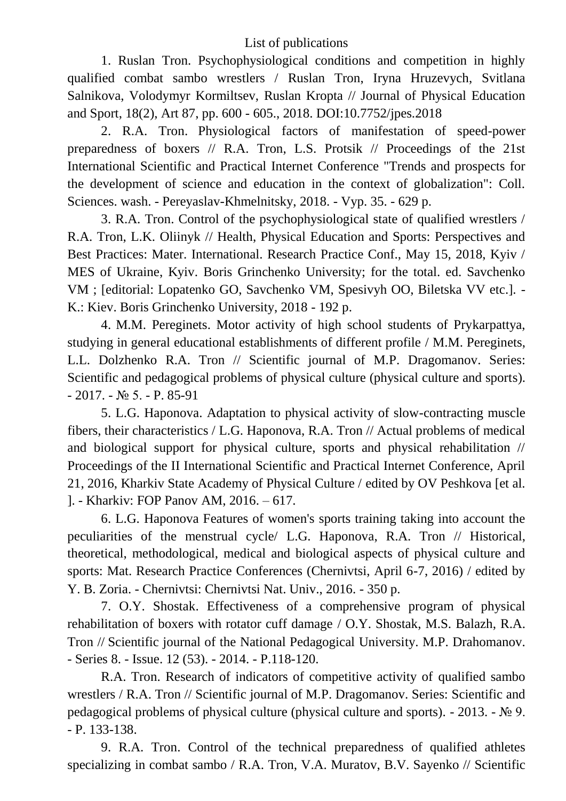## List of publications

1. Ruslan Tron. Psychophysiological conditions and competition in highly qualified combat sambo wrestlers / Ruslan Tron, Iryna Hruzevych, Svitlana Salnikova, Volodymyr Kormiltsev, Ruslan Kropta // Journal of Physical Education and Sport, 18(2), Art 87, pp. 600 - 605., 2018. DOI:10.7752/jpes.2018

2. R.A. Tron. Physiological factors of manifestation of speed-power preparedness of boxers // R.A. Tron, L.S. Protsik // Proceedings of the 21st International Scientific and Practical Internet Conference "Trends and prospects for the development of science and education in the context of globalization": Coll. Sciences. wash. - Pereyaslav-Khmelnitsky, 2018. - Vyp. 35. - 629 p.

3. R.A. Tron. Control of the psychophysiological state of qualified wrestlers / R.A. Tron, L.K. Oliinyk // Health, Physical Education and Sports: Perspectives and Best Practices: Mater. International. Research Practice Conf., May 15, 2018, Kyiv / MES of Ukraine, Kyiv. Boris Grinchenko University; for the total. ed. Savchenko VM ; [editorial: Lopatenko GO, Savchenko VM, Spesivyh OO, Biletska VV etc.]. - K.: Kiev. Boris Grinchenko University, 2018 - 192 p.

4. M.M. Pereginets. Motor activity of high school students of Prykarpattya, studying in general educational establishments of different profile / M.M. Pereginets, L.L. Dolzhenko R.A. Tron // Scientific journal of M.P. Dragomanov. Series: Scientific and pedagogical problems of physical culture (physical culture and sports). - 2017. - № 5. - P. 85-91

5. L.G. Haponova. Adaptation to physical activity of slow-contracting muscle fibers, their characteristics / L.G. Haponova, R.A. Tron // Actual problems of medical and biological support for physical culture, sports and physical rehabilitation // Proceedings of the II International Scientific and Practical Internet Conference, April 21, 2016, Kharkiv State Academy of Physical Culture / edited by OV Peshkova [et al. ]. - Kharkiv: FOP Panov AM, 2016. – 617.

6. L.G. Haponova Features of women's sports training taking into account the peculiarities of the menstrual cycle/ L.G. Haponova, R.A. Tron // Historical, theoretical, methodological, medical and biological aspects of physical culture and sports: Mat. Research Practice Conferences (Chernivtsi, April 6-7, 2016) / edited by Y. B. Zoria. - Chernivtsi: Chernivtsi Nat. Univ., 2016. - 350 p.

7. O.Y. Shostak. Effectiveness of a comprehensive program of physical rehabilitation of boxers with rotator cuff damage / O.Y. Shostak, M.S. Balazh, R.A. Tron // Scientific journal of the National Pedagogical University. M.P. Drahomanov. - Series 8. - Issue. 12 (53). - 2014. - P.118-120.

R.A. Tron. Research of indicators of competitive activity of qualified sambo wrestlers / R.A. Tron // Scientific journal of M.P. Dragomanov. Series: Scientific and pedagogical problems of physical culture (physical culture and sports).  $-2013$ .  $- \mathcal{N} \simeq 9$ . - P. 133-138.

9. R.A. Tron. Control of the technical preparedness of qualified athletes specializing in combat sambo / R.A. Tron, V.A. Muratov, B.V. Sayenko // Scientific